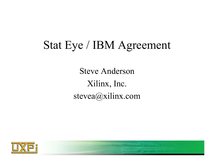#### Stat Eye / IBM Agreement

Steve AndersonXilinx, Inc. stevea@xilinx.com

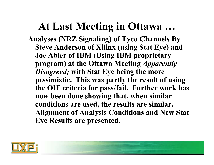#### **At Last Meeting in Ottawa …**

**Analyses (NRZ Signaling) of Tyco Channels By Steve Anderson of Xilinx (using Stat Eye) and Joe Abler of IBM (Using IBM proprietary program) at the Ottawa Meeting** *Apparently Disagreed;* **with Stat Eye being the more pessimistic. This was partly the result of using the OIF criteria for pass/fail. Further work has now been done showing that, when similar conditions are used, the results are similar. Alignment of Analysis Conditions and New Stat Eye Results are presented.** 

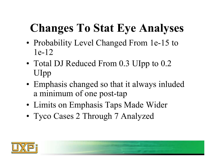# **Changes To Stat Eye Analyses**

- •• Probability Level Changed From 1e-15 to 1e-12
- •• Total DJ Reduced From 0.3 UIpp to 0.2 UIpp
- • Emphasis changed so that it always inluded a minimum of one post-tap
- •Limits on Emphasis Taps Made Wider
- •Tyco Cases 2 Through 7 Analyzed

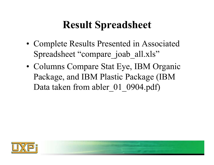#### **Result Spreadsheet**

- Complete Results Presented in Associated Spreadsheet "compare joab all.xls"
- Columns Compare Stat Eye, IBM Organic Package, and IBM Plastic Package (IBM Data taken from abler 01 0904.pdf)

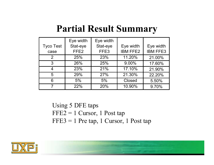#### **Partial Result Summary**

|                  | Eye width        | Eye width        |                 |                 |
|------------------|------------------|------------------|-----------------|-----------------|
| <b>Tyco Test</b> | Stat-eye         | Stat-eye         | Eye width       | Eye width       |
| case             | FFE <sub>2</sub> | FFE <sub>3</sub> | <b>IBM FFE2</b> | <b>IBM FFE3</b> |
| 2                | 25%              | 23%              | 11.20%          | 21.00%          |
| 3                | 26%              | 25%              | 9.00%           | 17.60%          |
|                  | 23%              | 21%              | 17.10%          | 21.90%          |
| 5                | 29%              | 27%              | 21.30%          | 22.20%          |
| 6                | 5%               | 5%               | <b>Closed</b>   | 5.50%           |
|                  | 22%              | 20%              | 10.90%          | 9.70%           |

Using 5 DFE taps FFE2 = 1 Cursor, 1 Post tap  $FFE3 = 1$  Pre tap, 1 Cursor, 1 Post tap

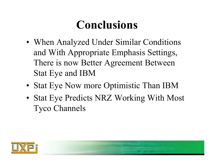## **Conclusions**

- •• When Analyzed Under Similar Conditions and With Appropriate Emphasis Settings, There is now Better Agreement Between Stat Eye and IBM
- •• Stat Eye Now more Optimistic Than IBM
- • Stat Eye Predicts NRZ Working With Most Tyco Channels